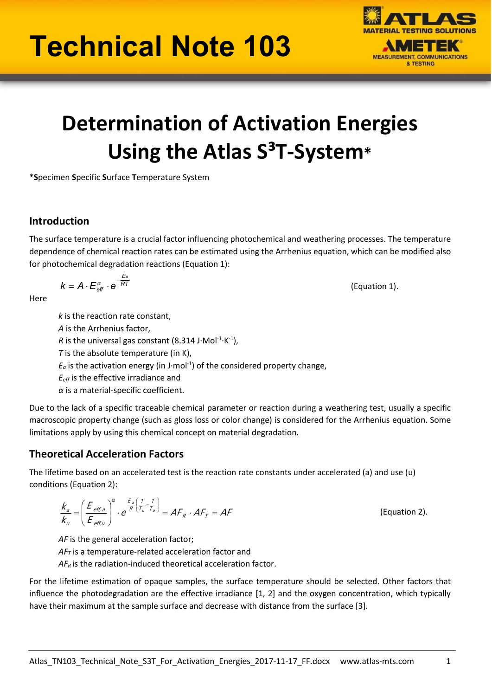# Technical Note 103



# Determination of Activation Energies Using the Atlas  $S^3T$ -System\*

\*Specimen Specific Surface Temperature System

### Introduction

The surface temperature is a crucial factor influencing photochemical and weathering processes. The temperature dependence of chemical reaction rates can be estimated using the Arrhenius equation, which can be modified also for photochemical degradation reactions (Equation 1):

$$
k = A \cdot E_{\text{eff}}^{\alpha} \cdot e^{-\frac{E_a}{RT}}
$$
 (Equation 1).

**Here** 

k is the reaction rate constant, A is the Arrhenius factor, R is the universal gas constant (8.314 J $\cdot$ Mol $^{-1}\cdot$ K $^{-1}$ ), T is the absolute temperature (in  $K$ ),  $E_a$  is the activation energy (in J·mol<sup>-1</sup>) of the considered property change,  $E_{\text{eff}}$  is the effective irradiance and  $\alpha$  is a material-specific coefficient.

Due to the lack of a specific traceable chemical parameter or reaction during a weathering test, usually a specific macroscopic property change (such as gloss loss or color change) is considered for the Arrhenius equation. Some limitations apply by using this chemical concept on material degradation.

# Theoretical Acceleration Factors

The lifetime based on an accelerated test is the reaction rate constants under accelerated (a) and use (u) conditions (Equation 2):

$$
\frac{k_a}{k_u} = \left(\frac{E_{\text{eff},a}}{E_{\text{eff},u}}\right)^{\alpha} \cdot e^{\frac{E_a}{R} \left(\frac{1}{T_u} - \frac{1}{T_a}\right)} = AF_R \cdot AF_T = AF
$$

(Equation 2).

AF is the general acceleration factor;

 $AF<sub>T</sub>$  is a temperature-related acceleration factor and

 $AF_R$  is the radiation-induced theoretical acceleration factor.

For the lifetime estimation of opaque samples, the surface temperature should be selected. Other factors that influence the photodegradation are the effective irradiance [1, 2] and the oxygen concentration, which typically have their maximum at the sample surface and decrease with distance from the surface [3].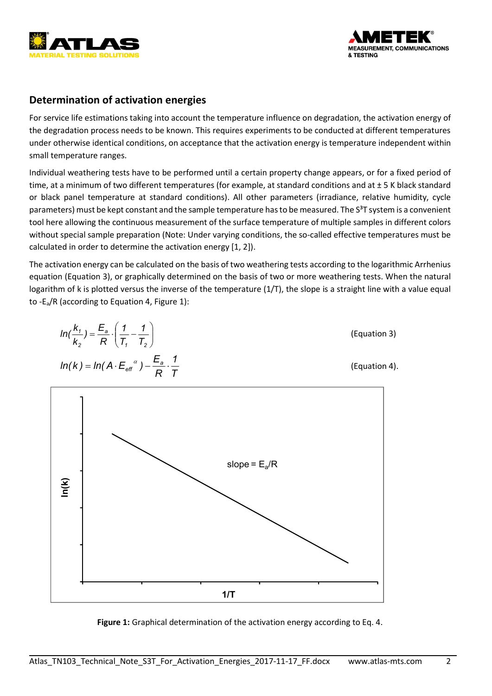



## Determination of activation energies

For service life estimations taking into account the temperature influence on degradation, the activation energy of the degradation process needs to be known. This requires experiments to be conducted at different temperatures under otherwise identical conditions, on acceptance that the activation energy is temperature independent within small temperature ranges.

Individual weathering tests have to be performed until a certain property change appears, or for a fixed period of time, at a minimum of two different temperatures (for example, at standard conditions and at  $\pm$  5 K black standard or black panel temperature at standard conditions). All other parameters (irradiance, relative humidity, cycle parameters) must be kept constant and the sample temperature has to be measured. The  $S^3T$  system is a convenient tool here allowing the continuous measurement of the surface temperature of multiple samples in different colors without special sample preparation (Note: Under varying conditions, the so-called effective temperatures must be calculated in order to determine the activation energy [1, 2]).

The activation energy can be calculated on the basis of two weathering tests according to the logarithmic Arrhenius equation (Equation 3), or graphically determined on the basis of two or more weathering tests. When the natural logarithm of k is plotted versus the inverse of the temperature (1/T), the slope is a straight line with a value equal to -Ea/R (according to Equation 4, Figure 1):